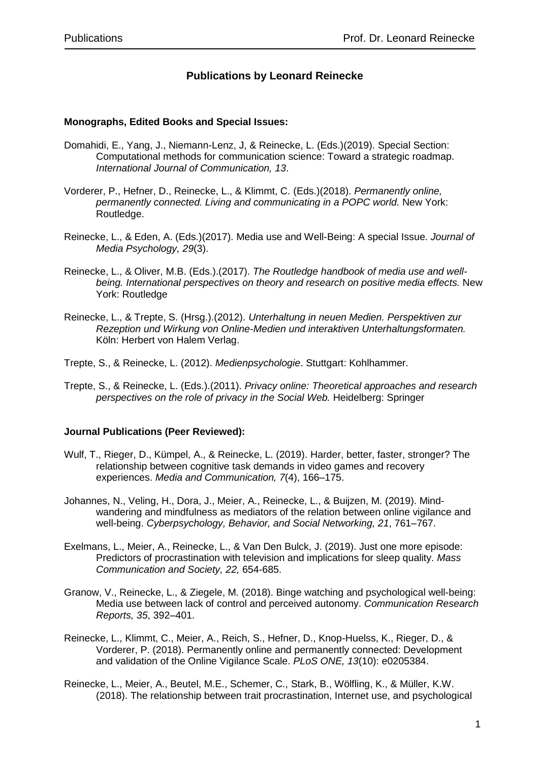# **Publications by Leonard Reinecke**

#### **Monographs, Edited Books and Special Issues:**

- Domahidi, E., Yang, J., Niemann-Lenz, J, & Reinecke, L. (Eds.)(2019). Special Section: Computational methods for communication science: Toward a strategic roadmap. *International Journal of Communication, 13*.
- Vorderer, P., Hefner, D., Reinecke, L., & Klimmt, C. (Eds.)(2018). *Permanently online, permanently connected. Living and communicating in a POPC world.* New York: Routledge.
- Reinecke, L., & Eden, A. (Eds.)(2017). Media use and Well-Being: A special Issue. *Journal of Media Psychology, 29*(3).
- Reinecke, L., & Oliver, M.B. (Eds.).(2017). *The Routledge handbook of media use and wellbeing. International perspectives on theory and research on positive media effects.* New York: Routledge
- Reinecke, L., & Trepte, S. (Hrsg.).(2012). *Unterhaltung in neuen Medien. Perspektiven zur Rezeption und Wirkung von Online-Medien und interaktiven Unterhaltungsformaten.* Köln: Herbert von Halem Verlag.
- Trepte, S., & Reinecke, L. (2012). *Medienpsychologie*. Stuttgart: Kohlhammer.
- Trepte, S., & Reinecke, L. (Eds.).(2011). *Privacy online: Theoretical approaches and research perspectives on the role of privacy in the Social Web.* Heidelberg: Springer

### **Journal Publications (Peer Reviewed):**

- Wulf, T., Rieger, D., Kümpel, A., & Reinecke, L. (2019). Harder, better, faster, stronger? The relationship between cognitive task demands in video games and recovery experiences. *Media and Communication, 7*(4), 166–175.
- Johannes, N., Veling, H., Dora, J., Meier, A., Reinecke, L., & Buijzen, M. (2019). Mindwandering and mindfulness as mediators of the relation between online vigilance and well-being. *Cyberpsychology, Behavior, and Social Networking, 21*, 761–767.
- Exelmans, L., Meier, A., Reinecke, L., & Van Den Bulck, J. (2019). Just one more episode: Predictors of procrastination with television and implications for sleep quality. *Mass Communication and Society, 22,* 654-685.
- Granow, V., Reinecke, L., & Ziegele, M. (2018). Binge watching and psychological well-being: Media use between lack of control and perceived autonomy. *Communication Research Reports, 35*, 392–401.
- Reinecke, L., Klimmt, C., Meier, A., Reich, S., Hefner, D., Knop-Huelss, K., Rieger, D., & Vorderer, P. (2018). Permanently online and permanently connected: Development and validation of the Online Vigilance Scale. *PLoS ONE, 13*(10): e0205384.
- Reinecke, L., Meier, A., Beutel, M.E., Schemer, C., Stark, B., Wölfling, K., & Müller, K.W. (2018). The relationship between trait procrastination, Internet use, and psychological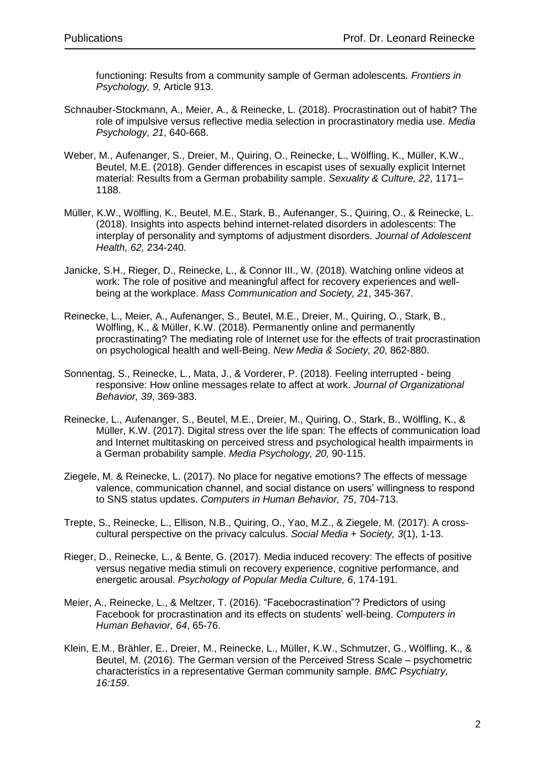functioning: Results from a community sample of German adolescents. *Frontiers in Psychology, 9*, Article 913.

- Schnauber-Stockmann, A., Meier, A., & Reinecke, L. (2018). Procrastination out of habit? The role of impulsive versus reflective media selection in procrastinatory media use. *Media Psychology, 21*, 640-668.
- Weber, M., Aufenanger, S., Dreier, M., Quiring, O., Reinecke, L., Wölfling, K., Müller, K.W., Beutel, M.E. (2018). Gender differences in escapist uses of sexually explicit Internet material: Results from a German probability sample. *Sexuality & Culture, 22*, 1171– 1188.
- Müller, K.W., Wölfling, K., Beutel, M.E., Stark, B., Aufenanger, S., Quiring, O., & Reinecke, L. (2018). Insights into aspects behind internet-related disorders in adolescents: The interplay of personality and symptoms of adjustment disorders. *Journal of Adolescent Health, 62,* 234-240.
- Janicke, S.H., Rieger, D., Reinecke, L., & Connor III., W. (2018). Watching online videos at work: The role of positive and meaningful affect for recovery experiences and wellbeing at the workplace. *Mass Communication and Society, 21*, 345-367.
- Reinecke, L., Meier, A., Aufenanger, S., Beutel, M.E., Dreier, M., Quiring, O., Stark, B., Wölfling, K., & Müller, K.W. (2018). Permanently online and permanently procrastinating? The mediating role of Internet use for the effects of trait procrastination on psychological health and well-Being. *New Media & Society, 20*, 862-880.
- Sonnentag, S., Reinecke, L., Mata, J., & Vorderer, P. (2018). Feeling interrupted being responsive: How online messages relate to affect at work. *Journal of Organizational Behavior, 39*, 369-383.
- Reinecke, L., Aufenanger, S., Beutel, M.E., Dreier, M., Quiring, O., Stark, B., Wölfling, K., & Müller, K.W. (2017). Digital stress over the life span: The effects of communication load and Internet multitasking on perceived stress and psychological health impairments in a German probability sample. *Media Psychology, 20,* 90-115.
- Ziegele, M. & Reinecke, L. (2017). No place for negative emotions? The effects of message valence, communication channel, and social distance on users' willingness to respond to SNS status updates. *Computers in Human Behavior, 75*, 704-713.
- Trepte, S., Reinecke, L., Ellison, N.B., Quiring, O., Yao, M.Z., & Ziegele, M. (2017). A crosscultural perspective on the privacy calculus. *Social Media + Society, 3*(1), 1-13.
- Rieger, D., Reinecke, L., & Bente, G. (2017). Media induced recovery: The effects of positive versus negative media stimuli on recovery experience, cognitive performance, and energetic arousal. *Psychology of Popular Media Culture, 6*, 174-191.
- Meier, A., Reinecke, L., & Meltzer, T. (2016). "Facebocrastination"? Predictors of using Facebook for procrastination and its effects on students' well-being. *Computers in Human Behavior, 64*, 65-76.
- Klein, E.M., Brähler, E., Dreier, M., Reinecke, L., Müller, K.W., Schmutzer, G., Wölfling, K., & Beutel, M. (2016). The German version of the Perceived Stress Scale – psychometric characteristics in a representative German community sample. *BMC Psychiatry, 16:159*.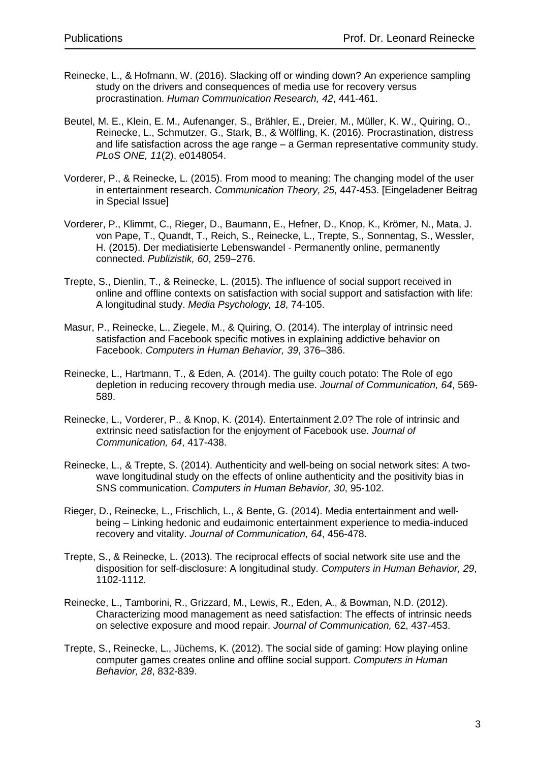- Reinecke, L., & Hofmann, W. (2016). Slacking off or winding down? An experience sampling study on the drivers and consequences of media use for recovery versus procrastination. *Human Communication Research, 42*, 441-461.
- Beutel, M. E., Klein, E. M., Aufenanger, S., Brähler, E., Dreier, M., Müller, K. W., Quiring, O., Reinecke, L., Schmutzer, G., Stark, B., & Wölfling, K. (2016). Procrastination, distress and life satisfaction across the age range – a German representative community study. *PLoS ONE, 11*(2), e0148054.
- Vorderer, P., & Reinecke, L. (2015). From mood to meaning: The changing model of the user in entertainment research. *Communication Theory, 25*, 447-453. [Eingeladener Beitrag in Special Issue]
- Vorderer, P., Klimmt, C., Rieger, D., Baumann, E., Hefner, D., Knop, K., Krömer, N., Mata, J. von Pape, T., Quandt, T., Reich, S., Reinecke, L., Trepte, S., Sonnentag, S., Wessler, H. (2015). Der mediatisierte Lebenswandel - Permanently online, permanently connected. *Publizistik, 60*, 259–276.
- Trepte, S., Dienlin, T., & Reinecke, L. (2015). The influence of social support received in online and offline contexts on satisfaction with social support and satisfaction with life: A longitudinal study. *Media Psychology, 18*, 74-105.
- Masur, P., Reinecke, L., Ziegele, M., & Quiring, O. (2014). The interplay of intrinsic need satisfaction and Facebook specific motives in explaining addictive behavior on Facebook. *Computers in Human Behavior, 39*, 376–386.
- Reinecke, L., Hartmann, T., & Eden, A. (2014). The guilty couch potato: The Role of ego depletion in reducing recovery through media use. *Journal of Communication, 64*, 569- 589.
- Reinecke, L., Vorderer, P., & Knop, K. (2014). Entertainment 2.0? The role of intrinsic and extrinsic need satisfaction for the enjoyment of Facebook use. *Journal of Communication, 64*, 417-438.
- Reinecke, L., & Trepte, S. (2014). Authenticity and well-being on social network sites: A twowave longitudinal study on the effects of online authenticity and the positivity bias in SNS communication. *Computers in Human Behavior, 30*, 95-102.
- Rieger, D., Reinecke, L., Frischlich, L., & Bente, G. (2014). Media entertainment and wellbeing – Linking hedonic and eudaimonic entertainment experience to media-induced recovery and vitality. *Journal of Communication, 64*, 456-478.
- Trepte, S., & Reinecke, L. (2013). The reciprocal effects of social network site use and the disposition for self-disclosure: A longitudinal study. *Computers in Human Behavior, 29*, 1102-1112*.*
- Reinecke, L., Tamborini, R., Grizzard, M., Lewis, R., Eden, A., & Bowman, N.D. (2012). Characterizing mood management as need satisfaction: The effects of intrinsic needs on selective exposure and mood repair. *Journal of Communication,* 62, 437-453.
- Trepte, S., Reinecke, L., Jüchems, K. (2012). The social side of gaming: How playing online computer games creates online and offline social support. *Computers in Human Behavior, 28*, 832-839.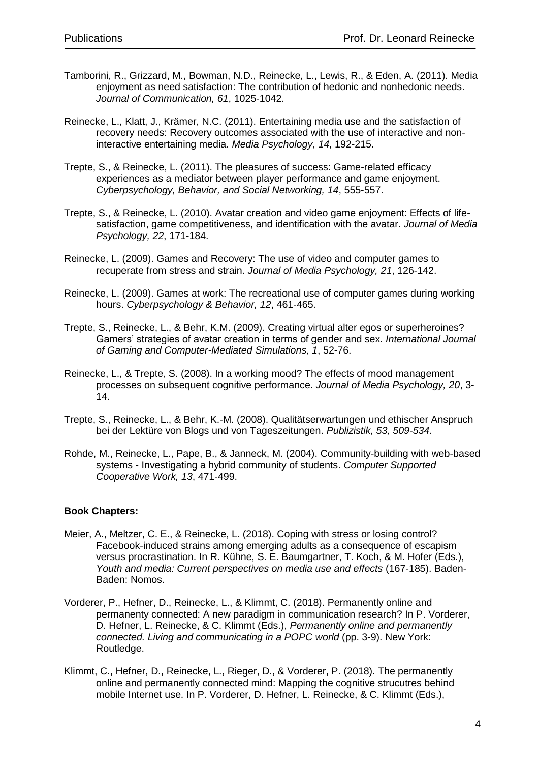- Tamborini, R., Grizzard, M., Bowman, N.D., Reinecke, L., Lewis, R., & Eden, A. (2011). Media enjoyment as need satisfaction: The contribution of hedonic and nonhedonic needs. *Journal of Communication, 61*, 1025-1042.
- Reinecke, L., Klatt, J., Krämer, N.C. (2011). Entertaining media use and the satisfaction of recovery needs: Recovery outcomes associated with the use of interactive and noninteractive entertaining media. *Media Psychology*, *14*, 192-215.
- Trepte, S., & Reinecke, L. (2011). The pleasures of success: Game-related efficacy experiences as a mediator between player performance and game enjoyment. *Cyberpsychology, Behavior, and Social Networking, 14*, 555-557.
- Trepte, S., & Reinecke, L. (2010). Avatar creation and video game enjoyment: Effects of lifesatisfaction, game competitiveness, and identification with the avatar. *Journal of Media Psychology, 22*, 171-184.
- Reinecke, L. (2009). Games and Recovery: The use of video and computer games to recuperate from stress and strain. *Journal of Media Psychology, 21*, 126-142.
- Reinecke, L. (2009). Games at work: The recreational use of computer games during working hours. *Cyberpsychology & Behavior, 12*, 461-465.
- Trepte, S., Reinecke, L., & Behr, K.M. (2009). Creating virtual alter egos or superheroines? Gamers' strategies of avatar creation in terms of gender and sex. *International Journal of Gaming and Computer-Mediated Simulations, 1*, 52-76.
- Reinecke, L., & Trepte, S. (2008). In a working mood? The effects of mood management processes on subsequent cognitive performance. *Journal of Media Psychology, 20*, 3- 14.
- Trepte, S., Reinecke, L., & Behr, K.-M. (2008). Qualitätserwartungen und ethischer Anspruch bei der Lektüre von Blogs und von Tageszeitungen. *Publizistik, 53, 509-534.*
- Rohde, M., Reinecke, L., Pape, B., & Janneck, M. (2004). Community-building with web-based systems - Investigating a hybrid community of students. *Computer Supported Cooperative Work, 13*, 471-499.

## **Book Chapters:**

- Meier, A., Meltzer, C. E., & Reinecke, L. (2018). Coping with stress or losing control? Facebook-induced strains among emerging adults as a consequence of escapism versus procrastination. In R. Kühne, S. E. Baumgartner, T. Koch, & M. Hofer (Eds.), *Youth and media: Current perspectives on media use and effects* (167-185). Baden-Baden: Nomos.
- Vorderer, P., Hefner, D., Reinecke, L., & Klimmt, C. (2018). Permanently online and permanenty connected: A new paradigm in communication research? In P. Vorderer, D. Hefner, L. Reinecke, & C. Klimmt (Eds.), *Permanently online and permanently connected. Living and communicating in a POPC world* (pp. 3-9). New York: Routledge.
- Klimmt, C., Hefner, D., Reinecke, L., Rieger, D., & Vorderer, P. (2018). The permanently online and permanently connected mind: Mapping the cognitive strucutres behind mobile Internet use. In P. Vorderer, D. Hefner, L. Reinecke, & C. Klimmt (Eds.),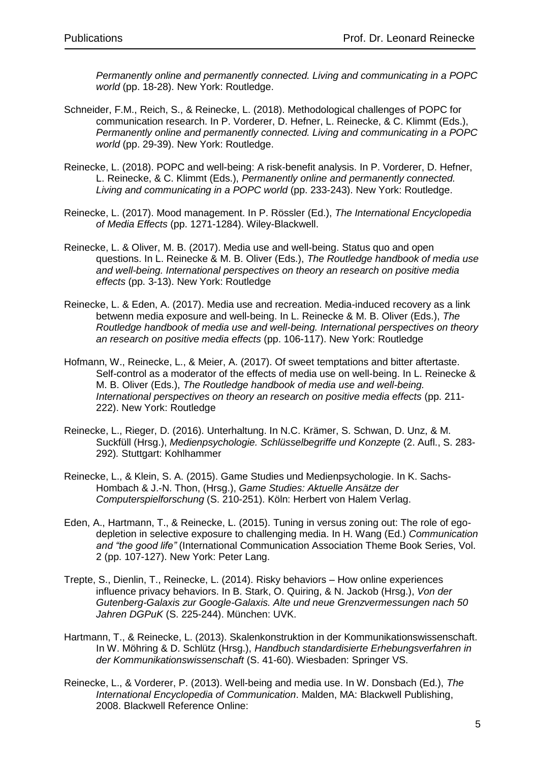*Permanently online and permanently connected. Living and communicating in a POPC world* (pp. 18-28). New York: Routledge.

- Schneider, F.M., Reich, S., & Reinecke, L. (2018). Methodological challenges of POPC for communication research. In P. Vorderer, D. Hefner, L. Reinecke, & C. Klimmt (Eds.), *Permanently online and permanently connected. Living and communicating in a POPC world* (pp. 29-39). New York: Routledge.
- Reinecke, L. (2018). POPC and well-being: A risk-benefit analysis. In P. Vorderer, D. Hefner, L. Reinecke, & C. Klimmt (Eds.), *Permanently online and permanently connected. Living and communicating in a POPC world* (pp. 233-243). New York: Routledge.
- Reinecke, L. (2017). Mood management. In P. Rössler (Ed.), *The International Encyclopedia of Media Effects* (pp. 1271-1284). Wiley-Blackwell.
- Reinecke, L. & Oliver, M. B. (2017). Media use and well-being. Status quo and open questions. In L. Reinecke & M. B. Oliver (Eds.), *The Routledge handbook of media use and well-being. International perspectives on theory an research on positive media effects* (pp. 3-13). New York: Routledge
- Reinecke, L. & Eden, A. (2017). Media use and recreation. Media-induced recovery as a link betwenn media exposure and well-being. In L. Reinecke & M. B. Oliver (Eds.), *The Routledge handbook of media use and well-being. International perspectives on theory an research on positive media effects* (pp. 106-117). New York: Routledge
- Hofmann, W., Reinecke, L., & Meier, A. (2017). Of sweet temptations and bitter aftertaste. Self-control as a moderator of the effects of media use on well-being. In L. Reinecke & M. B. Oliver (Eds.), *The Routledge handbook of media use and well-being. International perspectives on theory an research on positive media effects* (pp. 211- 222). New York: Routledge
- Reinecke, L., Rieger, D. (2016). Unterhaltung. In N.C. Krämer, S. Schwan, D. Unz, & M. Suckfüll (Hrsg.), *Medienpsychologie. Schlüsselbegriffe und Konzepte* (2. Aufl., S. 283- 292)*.* Stuttgart: Kohlhammer
- Reinecke, L., & Klein, S. A. (2015). Game Studies und Medienpsychologie. In K. Sachs-Hombach & J.-N. Thon, (Hrsg.), *Game Studies: Aktuelle Ansätze der Computerspielforschung* (S. 210-251). Köln: Herbert von Halem Verlag.
- Eden, A., Hartmann, T., & Reinecke, L. (2015). Tuning in versus zoning out: The role of egodepletion in selective exposure to challenging media. In H. Wang (Ed.) *Communication and "the good life"* (International Communication Association Theme Book Series, Vol. 2 (pp. 107-127). New York: Peter Lang.
- Trepte, S., Dienlin, T., Reinecke, L. (2014). Risky behaviors How online experiences influence privacy behaviors. In B. Stark, O. Quiring, & N. Jackob (Hrsg.), *Von der Gutenberg-Galaxis zur Google-Galaxis. Alte und neue Grenzvermessungen nach 50 Jahren DGPuK* (S. 225-244). München: UVK.
- Hartmann, T., & Reinecke, L. (2013). Skalenkonstruktion in der Kommunikationswissenschaft. In W. Möhring & D. Schlütz (Hrsg.), *Handbuch standardisierte Erhebungsverfahren in der Kommunikationswissenschaft* (S. 41-60). Wiesbaden: Springer VS.
- Reinecke, L., & Vorderer, P. (2013). Well-being and media use. In W. Donsbach (Ed.), *The International Encyclopedia of Communication*. Malden, MA: Blackwell Publishing, 2008. Blackwell Reference Online: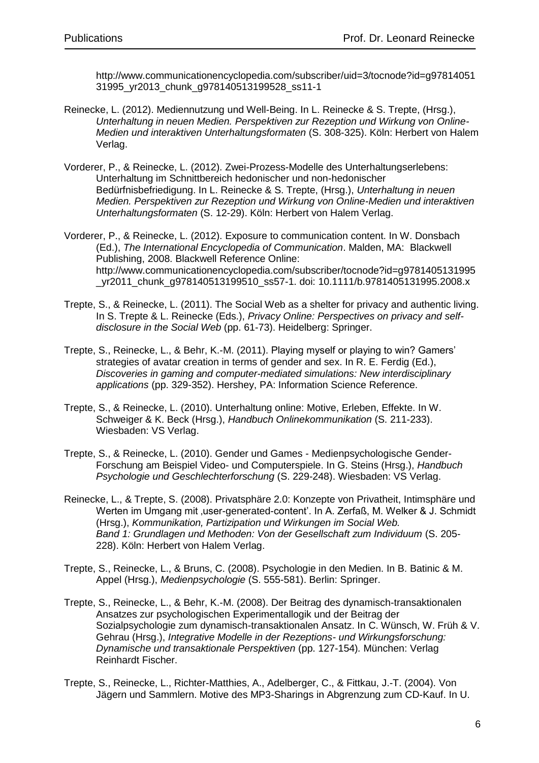http://www.communicationencyclopedia.com/subscriber/uid=3/tocnode?id=g97814051 31995\_yr2013\_chunk\_g978140513199528\_ss11-1

- Reinecke, L. (2012). Mediennutzung und Well-Being. In L. Reinecke & S. Trepte, (Hrsg.), *Unterhaltung in neuen Medien. Perspektiven zur Rezeption und Wirkung von Online-Medien und interaktiven Unterhaltungsformaten* (S. 308-325). Köln: Herbert von Halem Verlag.
- Vorderer, P., & Reinecke, L. (2012). Zwei-Prozess-Modelle des Unterhaltungserlebens: Unterhaltung im Schnittbereich hedonischer und non-hedonischer Bedürfnisbefriedigung. In L. Reinecke & S. Trepte, (Hrsg.), *Unterhaltung in neuen Medien. Perspektiven zur Rezeption und Wirkung von Online-Medien und interaktiven Unterhaltungsformaten* (S. 12-29). Köln: Herbert von Halem Verlag.
- Vorderer, P., & Reinecke, L. (2012). Exposure to communication content. In W. Donsbach (Ed.), *The International Encyclopedia of Communication*. Malden, MA: Blackwell Publishing, 2008. Blackwell Reference Online: http://www.communicationencyclopedia.com/subscriber/tocnode?id=g9781405131995 \_yr2011\_chunk\_g978140513199510\_ss57-1. doi: 10.1111/b.9781405131995.2008.x
- Trepte, S., & Reinecke, L. (2011). The Social Web as a shelter for privacy and authentic living. In S. Trepte & L. Reinecke (Eds.), *Privacy Online: Perspectives on privacy and selfdisclosure in the Social Web* (pp. 61-73). Heidelberg: Springer.
- Trepte, S., Reinecke, L., & Behr, K.-M. (2011). Playing myself or playing to win? Gamers' strategies of avatar creation in terms of gender and sex. In R. E. Ferdig (Ed.), *Discoveries in gaming and computer-mediated simulations: New interdisciplinary applications* (pp. 329-352). Hershey, PA: Information Science Reference.
- Trepte, S., & Reinecke, L. (2010). Unterhaltung online: Motive, Erleben, Effekte. In W. Schweiger & K. Beck (Hrsg.), *Handbuch Onlinekommunikation* (S. 211-233). Wiesbaden: VS Verlag.
- Trepte, S., & Reinecke, L. (2010). Gender und Games Medienpsychologische Gender-Forschung am Beispiel Video- und Computerspiele. In G. Steins (Hrsg.), *Handbuch Psychologie und Geschlechterforschung* (S. 229-248). Wiesbaden: VS Verlag.
- Reinecke, L., & Trepte, S. (2008). Privatsphäre 2.0: Konzepte von Privatheit, Intimsphäre und Werten im Umgang mit 'user-generated-content'. In A. Zerfaß, M. Welker & J. Schmidt (Hrsg.), *Kommunikation, Partizipation und Wirkungen im Social Web. Band 1: Grundlagen und Methoden: Von der Gesellschaft zum Individuum* (S. 205- 228). Köln: Herbert von Halem Verlag.
- Trepte, S., Reinecke, L., & Bruns, C. (2008). Psychologie in den Medien. In B. Batinic & M. Appel (Hrsg.), *Medienpsychologie* (S. 555-581). Berlin: Springer.
- Trepte, S., Reinecke, L., & Behr, K.-M. (2008). Der Beitrag des dynamisch-transaktionalen Ansatzes zur psychologischen Experimentallogik und der Beitrag der Sozialpsychologie zum dynamisch-transaktionalen Ansatz. In C. Wünsch, W. Früh & V. Gehrau (Hrsg.), *Integrative Modelle in der Rezeptions- und Wirkungsforschung: Dynamische und transaktionale Perspektiven* (pp. 127-154)*.* München: Verlag Reinhardt Fischer.
- Trepte, S., Reinecke, L., Richter-Matthies, A., Adelberger, C., & Fittkau, J.-T. (2004). Von Jägern und Sammlern. Motive des MP3-Sharings in Abgrenzung zum CD-Kauf. In U.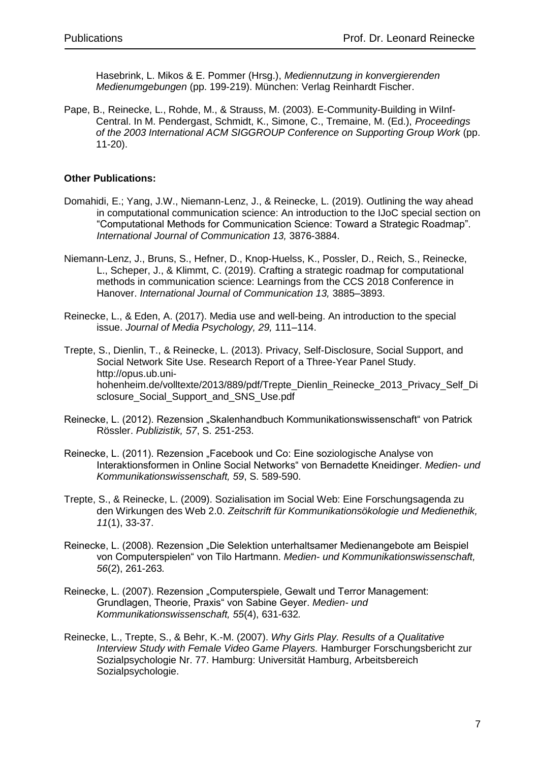Hasebrink, L. Mikos & E. Pommer (Hrsg.), *Mediennutzung in konvergierenden Medienumgebungen* (pp. 199-219). München: Verlag Reinhardt Fischer.

Pape, B., Reinecke, L., Rohde, M., & Strauss, M. (2003). E-Community-Building in WiInf-Central. In M. Pendergast, Schmidt, K., Simone, C., Tremaine, M. (Ed.), *Proceedings of the 2003 International ACM SIGGROUP Conference on Supporting Group Work* (pp. 11-20).

### **Other Publications:**

- Domahidi, E.; Yang, J.W., Niemann-Lenz, J., & Reinecke, L. (2019). Outlining the way ahead in computational communication science: An introduction to the IJoC special section on "Computational Methods for Communication Science: Toward a Strategic Roadmap". *International Journal of Communication 13,* 3876-3884.
- Niemann-Lenz, J., Bruns, S., Hefner, D., Knop-Huelss, K., Possler, D., Reich, S., Reinecke, L., Scheper, J., & Klimmt, C. (2019). Crafting a strategic roadmap for computational methods in communication science: Learnings from the CCS 2018 Conference in Hanover. *International Journal of Communication 13,* 3885–3893.
- Reinecke, L., & Eden, A. (2017). Media use and well-being. An introduction to the special issue. *Journal of Media Psychology, 29,* 111–114.
- Trepte, S., Dienlin, T., & Reinecke, L. (2013). Privacy, Self-Disclosure, Social Support, and Social Network Site Use. Research Report of a Three-Year Panel Study. http://opus.ub.unihohenheim.de/volltexte/2013/889/pdf/Trepte\_Dienlin\_Reinecke\_2013\_Privacy\_Self\_Di sclosure\_Social\_Support\_and\_SNS\_Use.pdf
- Reinecke, L. (2012). Rezension "Skalenhandbuch Kommunikationswissenschaft" von Patrick Rössler. *Publizistik, 57*, S. 251-253.
- Reinecke, L. (2011). Rezension "Facebook und Co: Eine soziologische Analyse von Interaktionsformen in Online Social Networks" von Bernadette Kneidinger. *Medien- und Kommunikationswissenschaft, 59*, S. 589-590.
- Trepte, S., & Reinecke, L. (2009). Sozialisation im Social Web: Eine Forschungsagenda zu den Wirkungen des Web 2.0. *Zeitschrift für Kommunikationsökologie und Medienethik, 11*(1), 33-37.
- Reinecke, L. (2008). Rezension "Die Selektion unterhaltsamer Medienangebote am Beispiel von Computerspielen" von Tilo Hartmann. *Medien- und Kommunikationswissenschaft, 56*(2), 261-263*.*
- Reinecke, L. (2007). Rezension "Computerspiele, Gewalt und Terror Management: Grundlagen, Theorie, Praxis" von Sabine Geyer. *Medien- und Kommunikationswissenschaft, 55*(4), 631-632*.*
- Reinecke, L., Trepte, S., & Behr, K.-M. (2007). *Why Girls Play. Results of a Qualitative Interview Study with Female Video Game Players.* Hamburger Forschungsbericht zur Sozialpsychologie Nr. 77. Hamburg: Universität Hamburg, Arbeitsbereich Sozialpsychologie.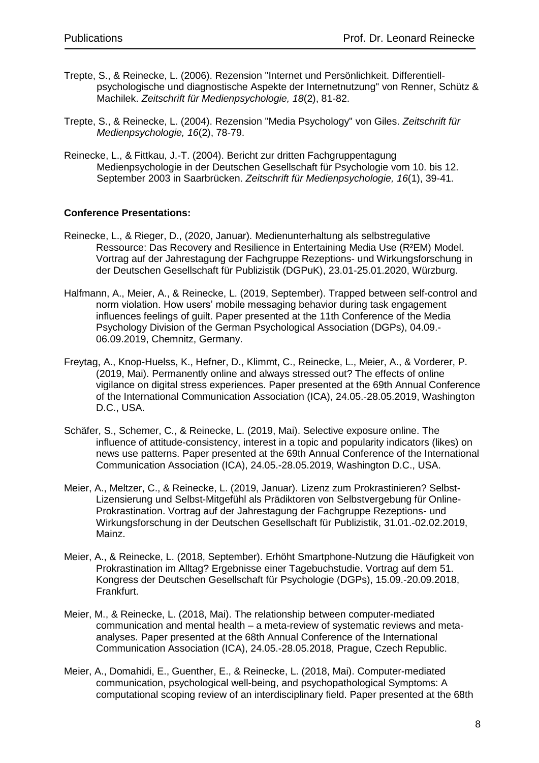- Trepte, S., & Reinecke, L. (2006). Rezension "Internet und Persönlichkeit. Differentiellpsychologische und diagnostische Aspekte der Internetnutzung" von Renner, Schütz & Machilek. *Zeitschrift für Medienpsychologie, 18*(2), 81-82.
- Trepte, S., & Reinecke, L. (2004). Rezension "Media Psychology" von Giles. *Zeitschrift für Medienpsychologie, 16*(2), 78-79.
- Reinecke, L., & Fittkau, J.-T. (2004). Bericht zur dritten Fachgruppentagung Medienpsychologie in der Deutschen Gesellschaft für Psychologie vom 10. bis 12. September 2003 in Saarbrücken. *Zeitschrift für Medienpsychologie, 16*(1), 39-41.

### **Conference Presentations:**

- Reinecke, L., & Rieger, D., (2020, Januar). Medienunterhaltung als selbstregulative Ressource: Das Recovery and Resilience in Entertaining Media Use (R²EM) Model. Vortrag auf der Jahrestagung der Fachgruppe Rezeptions- und Wirkungsforschung in der Deutschen Gesellschaft für Publizistik (DGPuK), 23.01-25.01.2020, Würzburg.
- Halfmann, A., Meier, A., & Reinecke, L. (2019, September). Trapped between self-control and norm violation. How users' mobile messaging behavior during task engagement influences feelings of guilt. Paper presented at the 11th Conference of the Media Psychology Division of the German Psychological Association (DGPs), 04.09.- 06.09.2019, Chemnitz, Germany.
- Freytag, A., Knop-Huelss, K., Hefner, D., Klimmt, C., Reinecke, L., Meier, A., & Vorderer, P. (2019, Mai). Permanently online and always stressed out? The effects of online vigilance on digital stress experiences. Paper presented at the 69th Annual Conference of the International Communication Association (ICA), 24.05.-28.05.2019, Washington D.C., USA.
- Schäfer, S., Schemer, C., & Reinecke, L. (2019, Mai). Selective exposure online. The influence of attitude-consistency, interest in a topic and popularity indicators (likes) on news use patterns. Paper presented at the 69th Annual Conference of the International Communication Association (ICA), 24.05.-28.05.2019, Washington D.C., USA.
- Meier, A., Meltzer, C., & Reinecke, L. (2019, Januar). Lizenz zum Prokrastinieren? Selbst-Lizensierung und Selbst-Mitgefühl als Prädiktoren von Selbstvergebung für Online-Prokrastination. Vortrag auf der Jahrestagung der Fachgruppe Rezeptions- und Wirkungsforschung in der Deutschen Gesellschaft für Publizistik, 31.01.-02.02.2019, Mainz.
- Meier, A., & Reinecke, L. (2018, September). Erhöht Smartphone-Nutzung die Häufigkeit von Prokrastination im Alltag? Ergebnisse einer Tagebuchstudie. Vortrag auf dem 51. Kongress der Deutschen Gesellschaft für Psychologie (DGPs), 15.09.-20.09.2018, Frankfurt.
- Meier, M., & Reinecke, L. (2018, Mai). The relationship between computer-mediated communication and mental health – a meta-review of systematic reviews and metaanalyses. Paper presented at the 68th Annual Conference of the International Communication Association (ICA), 24.05.-28.05.2018, Prague, Czech Republic.
- Meier, A., Domahidi, E., Guenther, E., & Reinecke, L. (2018, Mai). Computer-mediated communication, psychological well-being, and psychopathological Symptoms: A computational scoping review of an interdisciplinary field. Paper presented at the 68th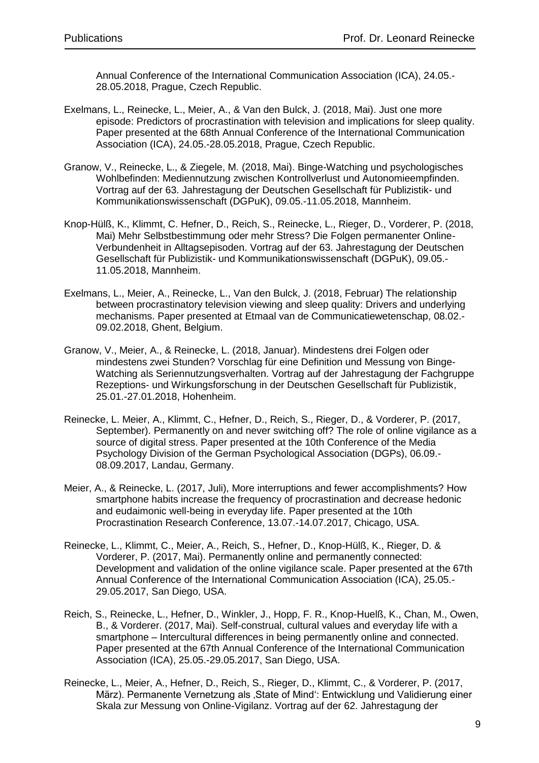Annual Conference of the International Communication Association (ICA), 24.05.- 28.05.2018, Prague, Czech Republic.

- Exelmans, L., Reinecke, L., Meier, A., & Van den Bulck, J. (2018, Mai). Just one more episode: Predictors of procrastination with television and implications for sleep quality. Paper presented at the 68th Annual Conference of the International Communication Association (ICA), 24.05.-28.05.2018, Prague, Czech Republic.
- Granow, V., Reinecke, L., & Ziegele, M. (2018, Mai). Binge-Watching und psychologisches Wohlbefinden: Mediennutzung zwischen Kontrollverlust und Autonomieempfinden. Vortrag auf der 63. Jahrestagung der Deutschen Gesellschaft für Publizistik- und Kommunikationswissenschaft (DGPuK), 09.05.-11.05.2018, Mannheim.
- Knop-Hülß, K., Klimmt, C. Hefner, D., Reich, S., Reinecke, L., Rieger, D., Vorderer, P. (2018, Mai) Mehr Selbstbestimmung oder mehr Stress? Die Folgen permanenter Online-Verbundenheit in Alltagsepisoden. Vortrag auf der 63. Jahrestagung der Deutschen Gesellschaft für Publizistik- und Kommunikationswissenschaft (DGPuK), 09.05.- 11.05.2018, Mannheim.
- Exelmans, L., Meier, A., Reinecke, L., Van den Bulck, J. (2018, Februar) The relationship between procrastinatory television viewing and sleep quality: Drivers and underlying mechanisms. Paper presented at Etmaal van de Communicatiewetenschap, 08.02.- 09.02.2018, Ghent, Belgium.
- Granow, V., Meier, A., & Reinecke, L. (2018, Januar). Mindestens drei Folgen oder mindestens zwei Stunden? Vorschlag für eine Definition und Messung von Binge-Watching als Seriennutzungsverhalten. Vortrag auf der Jahrestagung der Fachgruppe Rezeptions- und Wirkungsforschung in der Deutschen Gesellschaft für Publizistik, 25.01.-27.01.2018, Hohenheim.
- Reinecke, L. Meier, A., Klimmt, C., Hefner, D., Reich, S., Rieger, D., & Vorderer, P. (2017, September). Permanently on and never switching off? The role of online vigilance as a source of digital stress. Paper presented at the 10th Conference of the Media Psychology Division of the German Psychological Association (DGPs), 06.09.- 08.09.2017, Landau, Germany.
- Meier, A., & Reinecke, L. (2017, Juli), More interruptions and fewer accomplishments? How smartphone habits increase the frequency of procrastination and decrease hedonic and eudaimonic well-being in everyday life. Paper presented at the 10th Procrastination Research Conference, 13.07.-14.07.2017, Chicago, USA.
- Reinecke, L., Klimmt, C., Meier, A., Reich, S., Hefner, D., Knop-Hülß, K., Rieger, D. & Vorderer, P. (2017, Mai). Permanently online and permanently connected: Development and validation of the online vigilance scale. Paper presented at the 67th Annual Conference of the International Communication Association (ICA), 25.05.- 29.05.2017, San Diego, USA.
- Reich, S., Reinecke, L., Hefner, D., Winkler, J., Hopp, F. R., Knop-Huelß, K., Chan, M., Owen, B., & Vorderer. (2017, Mai). Self-construal, cultural values and everyday life with a smartphone – Intercultural differences in being permanently online and connected. Paper presented at the 67th Annual Conference of the International Communication Association (ICA), 25.05.-29.05.2017, San Diego, USA.
- Reinecke, L., Meier, A., Hefner, D., Reich, S., Rieger, D., Klimmt, C., & Vorderer, P. (2017, März). Permanente Vernetzung als 'State of Mind': Entwicklung und Validierung einer Skala zur Messung von Online-Vigilanz. Vortrag auf der 62. Jahrestagung der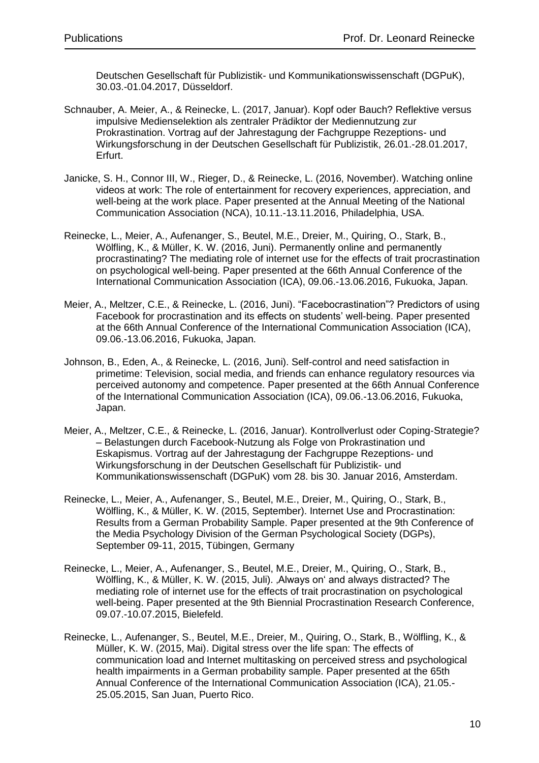Deutschen Gesellschaft für Publizistik- und Kommunikationswissenschaft (DGPuK), 30.03.-01.04.2017, Düsseldorf.

- Schnauber, A. Meier, A., & Reinecke, L. (2017, Januar). Kopf oder Bauch? Reflektive versus impulsive Medienselektion als zentraler Prädiktor der Mediennutzung zur Prokrastination. Vortrag auf der Jahrestagung der Fachgruppe Rezeptions- und Wirkungsforschung in der Deutschen Gesellschaft für Publizistik, 26.01.-28.01.2017, Erfurt.
- Janicke, S. H., Connor III, W., Rieger, D., & Reinecke, L. (2016, November). Watching online videos at work: The role of entertainment for recovery experiences, appreciation, and well-being at the work place. Paper presented at the Annual Meeting of the National Communication Association (NCA), 10.11.-13.11.2016, Philadelphia, USA.
- Reinecke, L., Meier, A., Aufenanger, S., Beutel, M.E., Dreier, M., Quiring, O., Stark, B., Wölfling, K., & Müller, K. W. (2016, Juni). Permanently online and permanently procrastinating? The mediating role of internet use for the effects of trait procrastination on psychological well-being. Paper presented at the 66th Annual Conference of the International Communication Association (ICA), 09.06.-13.06.2016, Fukuoka, Japan.
- Meier, A., Meltzer, C.E., & Reinecke, L. (2016, Juni). "Facebocrastination"? Predictors of using Facebook for procrastination and its effects on students' well-being. Paper presented at the 66th Annual Conference of the International Communication Association (ICA), 09.06.-13.06.2016, Fukuoka, Japan.
- Johnson, B., Eden, A., & Reinecke, L. (2016, Juni). Self-control and need satisfaction in primetime: Television, social media, and friends can enhance regulatory resources via perceived autonomy and competence. Paper presented at the 66th Annual Conference of the International Communication Association (ICA), 09.06.-13.06.2016, Fukuoka, Japan.
- Meier, A., Meltzer, C.E., & Reinecke, L. (2016, Januar). Kontrollverlust oder Coping-Strategie? – Belastungen durch Facebook-Nutzung als Folge von Prokrastination und Eskapismus. Vortrag auf der Jahrestagung der Fachgruppe Rezeptions- und Wirkungsforschung in der Deutschen Gesellschaft für Publizistik- und Kommunikationswissenschaft (DGPuK) vom 28. bis 30. Januar 2016, Amsterdam.
- Reinecke, L., Meier, A., Aufenanger, S., Beutel, M.E., Dreier, M., Quiring, O., Stark, B., Wölfling, K., & Müller, K. W. (2015, September). Internet Use and Procrastination: Results from a German Probability Sample. Paper presented at the 9th Conference of the Media Psychology Division of the German Psychological Society (DGPs), September 09-11, 2015, Tübingen, Germany
- Reinecke, L., Meier, A., Aufenanger, S., Beutel, M.E., Dreier, M., Quiring, O., Stark, B., Wölfling, K., & Müller, K. W. (2015, Juli). Always on' and always distracted? The mediating role of internet use for the effects of trait procrastination on psychological well-being. Paper presented at the 9th Biennial Procrastination Research Conference, 09.07.-10.07.2015, Bielefeld.
- Reinecke, L., Aufenanger, S., Beutel, M.E., Dreier, M., Quiring, O., Stark, B., Wölfling, K., & Müller, K. W. (2015, Mai). Digital stress over the life span: The effects of communication load and Internet multitasking on perceived stress and psychological health impairments in a German probability sample. Paper presented at the 65th Annual Conference of the International Communication Association (ICA), 21.05.- 25.05.2015, San Juan, Puerto Rico.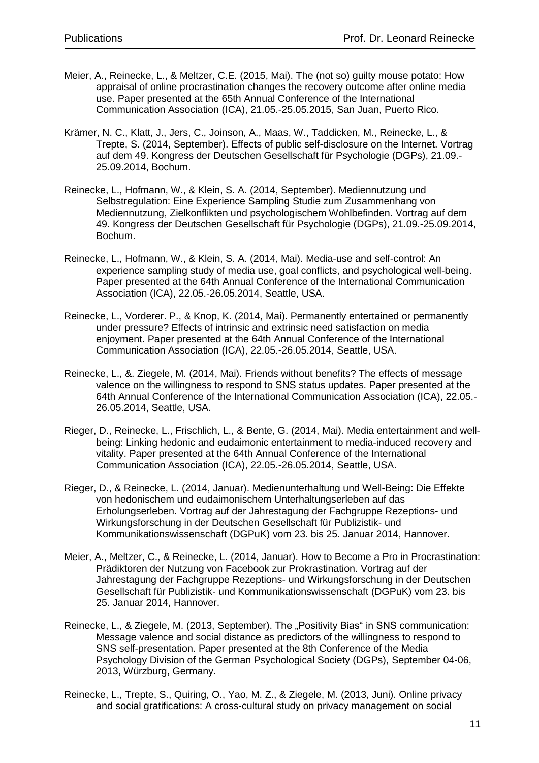- Meier, A., Reinecke, L., & Meltzer, C.E. (2015, Mai). The (not so) guilty mouse potato: How appraisal of online procrastination changes the recovery outcome after online media use. Paper presented at the 65th Annual Conference of the International Communication Association (ICA), 21.05.-25.05.2015, San Juan, Puerto Rico.
- Krämer, N. C., Klatt, J., Jers, C., Joinson, A., Maas, W., Taddicken, M., Reinecke, L., & Trepte, S. (2014, September). Effects of public self-disclosure on the Internet. Vortrag auf dem 49. Kongress der Deutschen Gesellschaft für Psychologie (DGPs), 21.09.- 25.09.2014, Bochum.
- Reinecke, L., Hofmann, W., & Klein, S. A. (2014, September). Mediennutzung und Selbstregulation: Eine Experience Sampling Studie zum Zusammenhang von Mediennutzung, Zielkonflikten und psychologischem Wohlbefinden. Vortrag auf dem 49. Kongress der Deutschen Gesellschaft für Psychologie (DGPs), 21.09.-25.09.2014, Bochum.
- Reinecke, L., Hofmann, W., & Klein, S. A. (2014, Mai). Media-use and self-control: An experience sampling study of media use, goal conflicts, and psychological well-being. Paper presented at the 64th Annual Conference of the International Communication Association (ICA), 22.05.-26.05.2014, Seattle, USA.
- Reinecke, L., Vorderer. P., & Knop, K. (2014, Mai). Permanently entertained or permanently under pressure? Effects of intrinsic and extrinsic need satisfaction on media enjoyment. Paper presented at the 64th Annual Conference of the International Communication Association (ICA), 22.05.-26.05.2014, Seattle, USA.
- Reinecke, L., &. Ziegele, M. (2014, Mai). Friends without benefits? The effects of message valence on the willingness to respond to SNS status updates. Paper presented at the 64th Annual Conference of the International Communication Association (ICA), 22.05.- 26.05.2014, Seattle, USA.
- Rieger, D., Reinecke, L., Frischlich, L., & Bente, G. (2014, Mai). Media entertainment and wellbeing: Linking hedonic and eudaimonic entertainment to media-induced recovery and vitality. Paper presented at the 64th Annual Conference of the International Communication Association (ICA), 22.05.-26.05.2014, Seattle, USA.
- Rieger, D., & Reinecke, L. (2014, Januar). Medienunterhaltung und Well-Being: Die Effekte von hedonischem und eudaimonischem Unterhaltungserleben auf das Erholungserleben. Vortrag auf der Jahrestagung der Fachgruppe Rezeptions- und Wirkungsforschung in der Deutschen Gesellschaft für Publizistik- und Kommunikationswissenschaft (DGPuK) vom 23. bis 25. Januar 2014, Hannover.
- Meier, A., Meltzer, C., & Reinecke, L. (2014, Januar). How to Become a Pro in Procrastination: Prädiktoren der Nutzung von Facebook zur Prokrastination. Vortrag auf der Jahrestagung der Fachgruppe Rezeptions- und Wirkungsforschung in der Deutschen Gesellschaft für Publizistik- und Kommunikationswissenschaft (DGPuK) vom 23. bis 25. Januar 2014, Hannover.
- Reinecke, L., & Ziegele, M. (2013, September). The "Positivity Bias" in SNS communication: Message valence and social distance as predictors of the willingness to respond to SNS self-presentation. Paper presented at the 8th Conference of the Media Psychology Division of the German Psychological Society (DGPs), September 04-06, 2013, Würzburg, Germany.
- Reinecke, L., Trepte, S., Quiring, O., Yao, M. Z., & Ziegele, M. (2013, Juni). Online privacy and social gratifications: A cross-cultural study on privacy management on social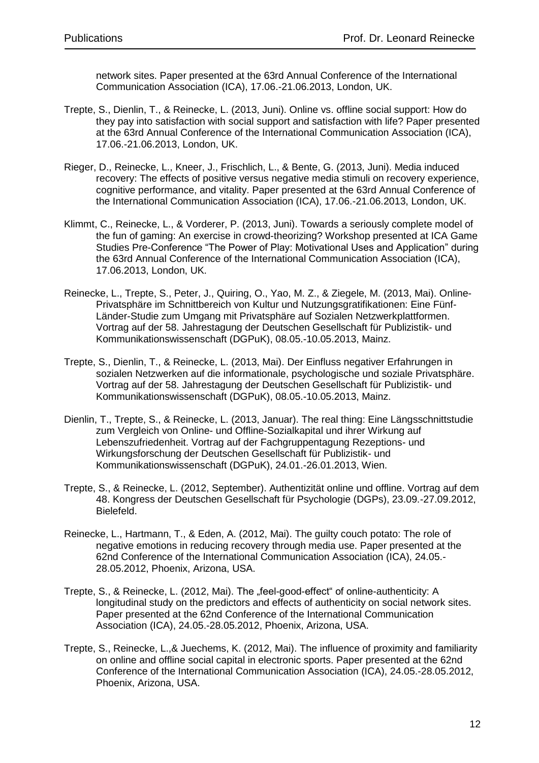network sites. Paper presented at the 63rd Annual Conference of the International Communication Association (ICA), 17.06.-21.06.2013, London, UK.

- Trepte, S., Dienlin, T., & Reinecke, L. (2013, Juni). Online vs. offline social support: How do they pay into satisfaction with social support and satisfaction with life? Paper presented at the 63rd Annual Conference of the International Communication Association (ICA), 17.06.-21.06.2013, London, UK.
- Rieger, D., Reinecke, L., Kneer, J., Frischlich, L., & Bente, G. (2013, Juni). Media induced recovery: The effects of positive versus negative media stimuli on recovery experience, cognitive performance, and vitality. Paper presented at the 63rd Annual Conference of the International Communication Association (ICA), 17.06.-21.06.2013, London, UK.
- Klimmt, C., Reinecke, L., & Vorderer, P. (2013, Juni). Towards a seriously complete model of the fun of gaming: An exercise in crowd-theorizing? Workshop presented at ICA Game Studies Pre-Conference "The Power of Play: Motivational Uses and Application" during the 63rd Annual Conference of the International Communication Association (ICA), 17.06.2013, London, UK.
- Reinecke, L., Trepte, S., Peter, J., Quiring, O., Yao, M. Z., & Ziegele, M. (2013, Mai). Online-Privatsphäre im Schnittbereich von Kultur und Nutzungsgratifikationen: Eine Fünf-Länder-Studie zum Umgang mit Privatsphäre auf Sozialen Netzwerkplattformen. Vortrag auf der 58. Jahrestagung der Deutschen Gesellschaft für Publizistik- und Kommunikationswissenschaft (DGPuK), 08.05.-10.05.2013, Mainz.
- Trepte, S., Dienlin, T., & Reinecke, L. (2013, Mai). Der Einfluss negativer Erfahrungen in sozialen Netzwerken auf die informationale, psychologische und soziale Privatsphäre. Vortrag auf der 58. Jahrestagung der Deutschen Gesellschaft für Publizistik- und Kommunikationswissenschaft (DGPuK), 08.05.-10.05.2013, Mainz.
- Dienlin, T., Trepte, S., & Reinecke, L. (2013, Januar). The real thing: Eine Längsschnittstudie zum Vergleich von Online- und Offline-Sozialkapital und ihrer Wirkung auf Lebenszufriedenheit. Vortrag auf der Fachgruppentagung Rezeptions- und Wirkungsforschung der Deutschen Gesellschaft für Publizistik- und Kommunikationswissenschaft (DGPuK), 24.01.-26.01.2013, Wien.
- Trepte, S., & Reinecke, L. (2012, September). Authentizität online und offline. Vortrag auf dem 48. Kongress der Deutschen Gesellschaft für Psychologie (DGPs), 23.09.-27.09.2012, Bielefeld.
- Reinecke, L., Hartmann, T., & Eden, A. (2012, Mai). The guilty couch potato: The role of negative emotions in reducing recovery through media use. Paper presented at the 62nd Conference of the International Communication Association (ICA), 24.05.- 28.05.2012, Phoenix, Arizona, USA.
- Trepte, S., & Reinecke, L. (2012, Mai). The "feel-good-effect" of online-authenticity: A longitudinal study on the predictors and effects of authenticity on social network sites. Paper presented at the 62nd Conference of the International Communication Association (ICA), 24.05.-28.05.2012, Phoenix, Arizona, USA.
- Trepte, S., Reinecke, L.,& Juechems, K. (2012, Mai). The influence of proximity and familiarity on online and offline social capital in electronic sports. Paper presented at the 62nd Conference of the International Communication Association (ICA), 24.05.-28.05.2012, Phoenix, Arizona, USA.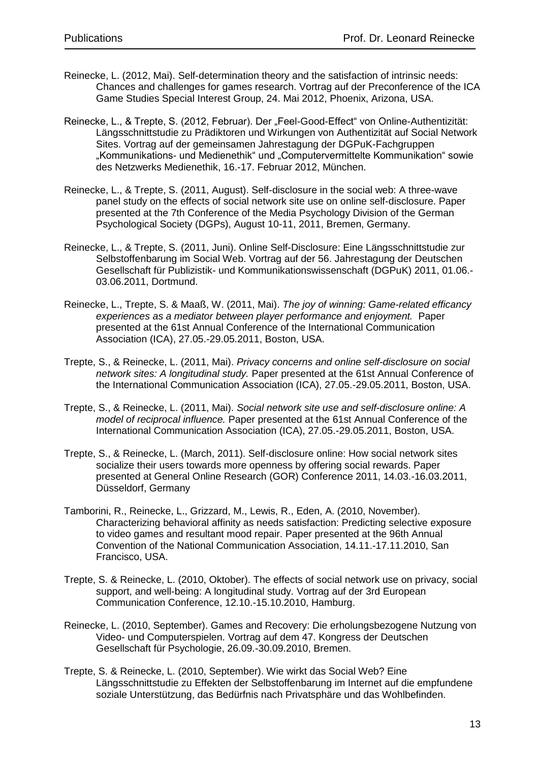- Reinecke, L. (2012, Mai). Self-determination theory and the satisfaction of intrinsic needs: Chances and challenges for games research. Vortrag auf der Preconference of the ICA Game Studies Special Interest Group, 24. Mai 2012, Phoenix, Arizona, USA.
- Reinecke, L., & Trepte, S. (2012, Februar). Der "Feel-Good-Effect" von Online-Authentizität: Längsschnittstudie zu Prädiktoren und Wirkungen von Authentizität auf Social Network Sites. Vortrag auf der gemeinsamen Jahrestagung der DGPuK-Fachgruppen "Kommunikations- und Medienethik" und "Computervermittelte Kommunikation" sowie des Netzwerks Medienethik, 16.-17. Februar 2012, München.
- Reinecke, L., & Trepte, S. (2011, August). Self-disclosure in the social web: A three-wave panel study on the effects of social network site use on online self-disclosure. Paper presented at the 7th Conference of the Media Psychology Division of the German Psychological Society (DGPs), August 10-11, 2011, Bremen, Germany.
- Reinecke, L., & Trepte, S. (2011, Juni). Online Self-Disclosure: Eine Längsschnittstudie zur Selbstoffenbarung im Social Web. Vortrag auf der 56. Jahrestagung der Deutschen Gesellschaft für Publizistik- und Kommunikationswissenschaft (DGPuK) 2011, 01.06.- 03.06.2011, Dortmund.
- Reinecke, L., Trepte, S. & Maaß, W. (2011, Mai). *The joy of winning: Game-related efficancy experiences as a mediator between player performance and enjoyment.* Paper presented at the 61st Annual Conference of the International Communication Association (ICA), 27.05.-29.05.2011, Boston, USA.
- Trepte, S., & Reinecke, L. (2011, Mai). *Privacy concerns and online self-disclosure on social network sites: A longitudinal study.* Paper presented at the 61st Annual Conference of the International Communication Association (ICA), 27.05.-29.05.2011, Boston, USA.
- Trepte, S., & Reinecke, L. (2011, Mai). *Social network site use and self-disclosure online: A model of reciprocal influence.* Paper presented at the 61st Annual Conference of the International Communication Association (ICA), 27.05.-29.05.2011, Boston, USA.
- Trepte, S., & Reinecke, L. (March, 2011). Self-disclosure online: How social network sites socialize their users towards more openness by offering social rewards. Paper presented at General Online Research (GOR) Conference 2011, 14.03.-16.03.2011, Düsseldorf, Germany
- Tamborini, R., Reinecke, L., Grizzard, M., Lewis, R., Eden, A. (2010, November). Characterizing behavioral affinity as needs satisfaction: Predicting selective exposure to video games and resultant mood repair. Paper presented at the 96th Annual Convention of the National Communication Association, 14.11.-17.11.2010, San Francisco, USA.
- Trepte, S. & Reinecke, L. (2010, Oktober). The effects of social network use on privacy, social support, and well-being: A longitudinal study. Vortrag auf der 3rd European Communication Conference, 12.10.-15.10.2010, Hamburg.
- Reinecke, L. (2010, September). Games and Recovery: Die erholungsbezogene Nutzung von Video- und Computerspielen. Vortrag auf dem 47. Kongress der Deutschen Gesellschaft für Psychologie, 26.09.-30.09.2010, Bremen.
- Trepte, S. & Reinecke, L. (2010, September). Wie wirkt das Social Web? Eine Längsschnittstudie zu Effekten der Selbstoffenbarung im Internet auf die empfundene soziale Unterstützung, das Bedürfnis nach Privatsphäre und das Wohlbefinden.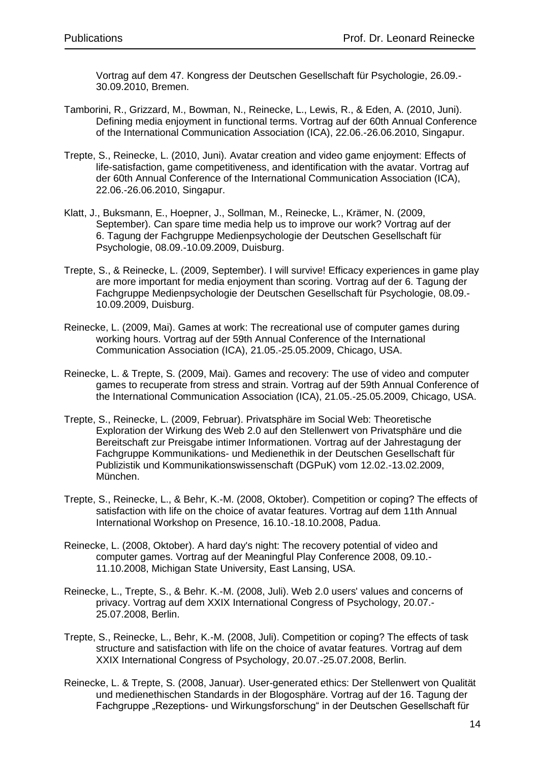Vortrag auf dem 47. Kongress der Deutschen Gesellschaft für Psychologie, 26.09.- 30.09.2010, Bremen.

- Tamborini, R., Grizzard, M., Bowman, N., Reinecke, L., Lewis, R., & Eden, A. (2010, Juni). Defining media enjoyment in functional terms. Vortrag auf der 60th Annual Conference of the International Communication Association (ICA), 22.06.-26.06.2010, Singapur.
- Trepte, S., Reinecke, L. (2010, Juni). Avatar creation and video game enjoyment: Effects of life-satisfaction, game competitiveness, and identification with the avatar. Vortrag auf der 60th Annual Conference of the International Communication Association (ICA), 22.06.-26.06.2010, Singapur.
- Klatt, J., Buksmann, E., Hoepner, J., Sollman, M., Reinecke, L., Krämer, N. (2009, September). Can spare time media help us to improve our work? Vortrag auf der 6. Tagung der Fachgruppe Medienpsychologie der Deutschen Gesellschaft für Psychologie, 08.09.-10.09.2009, Duisburg.
- Trepte, S., & Reinecke, L. (2009, September). I will survive! Efficacy experiences in game play are more important for media enjoyment than scoring. Vortrag auf der 6. Tagung der Fachgruppe Medienpsychologie der Deutschen Gesellschaft für Psychologie, 08.09.- 10.09.2009, Duisburg.
- Reinecke, L. (2009, Mai). Games at work: The recreational use of computer games during working hours. Vortrag auf der 59th Annual Conference of the International Communication Association (ICA), 21.05.-25.05.2009, Chicago, USA.
- Reinecke, L. & Trepte, S. (2009, Mai). Games and recovery: The use of video and computer games to recuperate from stress and strain. Vortrag auf der 59th Annual Conference of the International Communication Association (ICA), 21.05.-25.05.2009, Chicago, USA.
- Trepte, S., Reinecke, L. (2009, Februar). Privatsphäre im Social Web: Theoretische Exploration der Wirkung des Web 2.0 auf den Stellenwert von Privatsphäre und die Bereitschaft zur Preisgabe intimer Informationen. Vortrag auf der Jahrestagung der Fachgruppe Kommunikations- und Medienethik in der Deutschen Gesellschaft für Publizistik und Kommunikationswissenschaft (DGPuK) vom 12.02.-13.02.2009, München.
- Trepte, S., Reinecke, L., & Behr, K.-M. (2008, Oktober). Competition or coping? The effects of satisfaction with life on the choice of avatar features. Vortrag auf dem 11th Annual International Workshop on Presence, 16.10.-18.10.2008, Padua.
- Reinecke, L. (2008, Oktober). A hard day's night: The recovery potential of video and computer games. Vortrag auf der Meaningful Play Conference 2008, 09.10.- 11.10.2008, Michigan State University, East Lansing, USA.
- Reinecke, L., Trepte, S., & Behr. K.-M. (2008, Juli). Web 2.0 users' values and concerns of privacy. Vortrag auf dem XXIX International Congress of Psychology, 20.07.- 25.07.2008, Berlin.
- Trepte, S., Reinecke, L., Behr, K.-M. (2008, Juli). Competition or coping? The effects of task structure and satisfaction with life on the choice of avatar features. Vortrag auf dem XXIX International Congress of Psychology, 20.07.-25.07.2008, Berlin.
- Reinecke, L. & Trepte, S. (2008, Januar). User-generated ethics: Der Stellenwert von Qualität und medienethischen Standards in der Blogosphäre. Vortrag auf der 16. Tagung der Fachgruppe "Rezeptions- und Wirkungsforschung" in der Deutschen Gesellschaft für